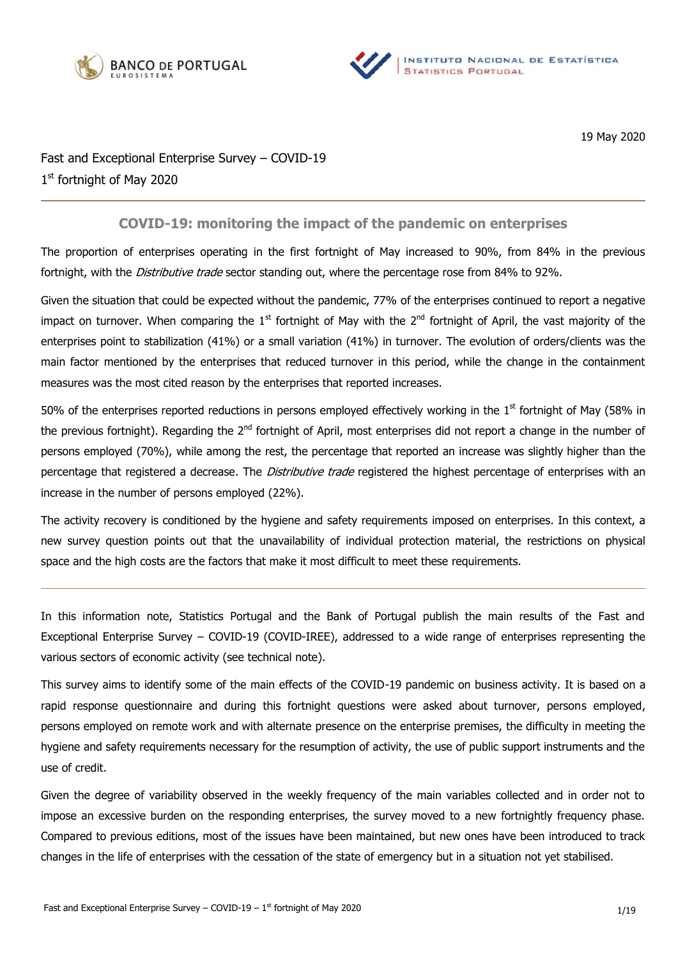



19 May 2020

# Fast and Exceptional Enterprise Survey – COVID-19 1st fortnight of May 2020

## **COVID-19: monitoring the impact of the pandemic on enterprises**

The proportion of enterprises operating in the first fortnight of May increased to 90%, from 84% in the previous fortnight, with the Distributive trade sector standing out, where the percentage rose from 84% to 92%.

Given the situation that could be expected without the pandemic, 77% of the enterprises continued to report a negative impact on turnover. When comparing the  $1<sup>st</sup>$  fortnight of May with the  $2<sup>nd</sup>$  fortnight of April, the vast majority of the enterprises point to stabilization (41%) or a small variation (41%) in turnover. The evolution of orders/clients was the main factor mentioned by the enterprises that reduced turnover in this period, while the change in the containment measures was the most cited reason by the enterprises that reported increases.

50% of the enterprises reported reductions in persons employed effectively working in the  $1<sup>st</sup>$  fortnight of May (58% in the previous fortnight). Regarding the 2<sup>nd</sup> fortnight of April, most enterprises did not report a change in the number of persons employed (70%), while among the rest, the percentage that reported an increase was slightly higher than the percentage that registered a decrease. The *Distributive trade* registered the highest percentage of enterprises with an increase in the number of persons employed (22%).

The activity recovery is conditioned by the hygiene and safety requirements imposed on enterprises. In this context, a new survey question points out that the unavailability of individual protection material, the restrictions on physical space and the high costs are the factors that make it most difficult to meet these requirements.

In this information note, Statistics Portugal and the Bank of Portugal publish the main results of the Fast and Exceptional Enterprise Survey – COVID-19 (COVID-IREE), addressed to a wide range of enterprises representing the various sectors of economic activity (see technical note).

This survey aims to identify some of the main effects of the COVID-19 pandemic on business activity. It is based on a rapid response questionnaire and during this fortnight questions were asked about turnover, persons employed, persons employed on remote work and with alternate presence on the enterprise premises, the difficulty in meeting the hygiene and safety requirements necessary for the resumption of activity, the use of public support instruments and the use of credit.

Given the degree of variability observed in the weekly frequency of the main variables collected and in order not to impose an excessive burden on the responding enterprises, the survey moved to a new fortnightly frequency phase. Compared to previous editions, most of the issues have been maintained, but new ones have been introduced to track changes in the life of enterprises with the cessation of the state of emergency but in a situation not yet stabilised.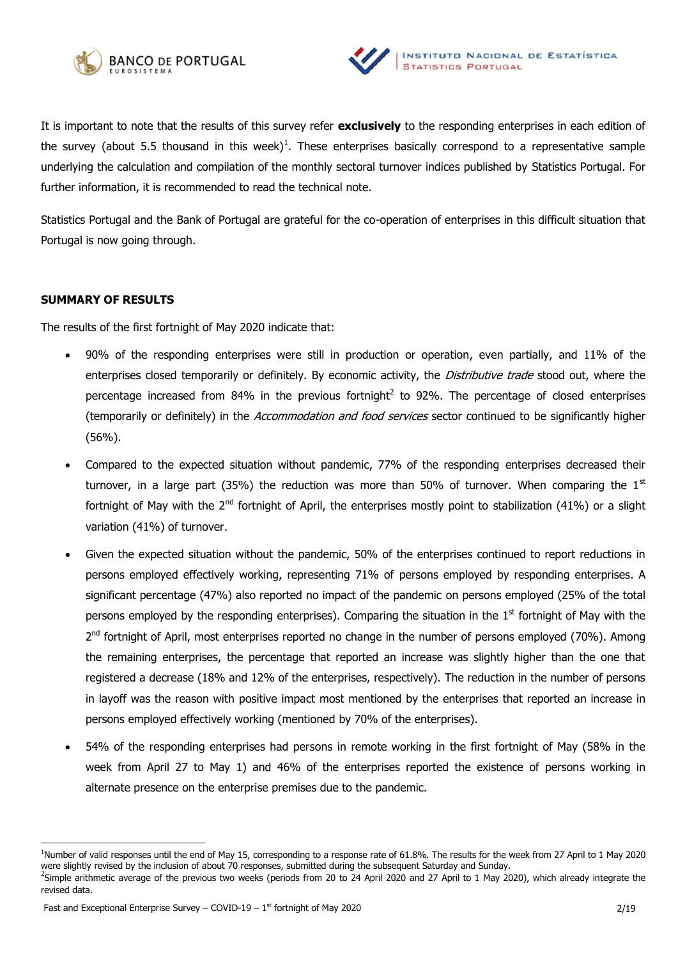



It is important to note that the results of this survey refer **exclusively** to the responding enterprises in each edition of the survey (about 5.5 thousand in this week)<sup>1</sup>. These enterprises basically correspond to a representative sample underlying the calculation and compilation of the monthly sectoral turnover indices published by Statistics Portugal. For further information, it is recommended to read the technical note.

Statistics Portugal and the Bank of Portugal are grateful for the co-operation of enterprises in this difficult situation that Portugal is now going through.

### **SUMMARY OF RESULTS**

The results of the first fortnight of May 2020 indicate that:

- 90% of the responding enterprises were still in production or operation, even partially, and 11% of the enterprises closed temporarily or definitely. By economic activity, the *Distributive trade* stood out, where the percentage increased from 84% in the previous fortnight<sup>2</sup> to 92%. The percentage of closed enterprises (temporarily or definitely) in the Accommodation and food services sector continued to be significantly higher (56%).
- Compared to the expected situation without pandemic, 77% of the responding enterprises decreased their turnover, in a large part (35%) the reduction was more than 50% of turnover. When comparing the  $1<sup>st</sup>$ fortnight of May with the 2<sup>nd</sup> fortnight of April, the enterprises mostly point to stabilization (41%) or a slight variation (41%) of turnover.
- Given the expected situation without the pandemic, 50% of the enterprises continued to report reductions in persons employed effectively working, representing 71% of persons employed by responding enterprises. A significant percentage (47%) also reported no impact of the pandemic on persons employed (25% of the total persons employed by the responding enterprises). Comparing the situation in the 1<sup>st</sup> fortnight of May with the 2<sup>nd</sup> fortnight of April, most enterprises reported no change in the number of persons employed (70%). Among the remaining enterprises, the percentage that reported an increase was slightly higher than the one that registered a decrease (18% and 12% of the enterprises, respectively). The reduction in the number of persons in layoff was the reason with positive impact most mentioned by the enterprises that reported an increase in persons employed effectively working (mentioned by 70% of the enterprises).
- 54% of the responding enterprises had persons in remote working in the first fortnight of May (58% in the week from April 27 to May 1) and 46% of the enterprises reported the existence of persons working in alternate presence on the enterprise premises due to the pandemic.

<sup>1</sup>Number of valid responses until the end of May 15, corresponding to a response rate of 61.8%. The results for the week from 27 April to 1 May 2020 were slightly revised by the inclusion of about 70 responses, submitted during the subsequent Saturday and Sunday.

 $^2$ Simple arithmetic average of the previous two weeks (periods from 20 to 24 April 2020 and 27 April to 1 May 2020), which already integrate the revised data.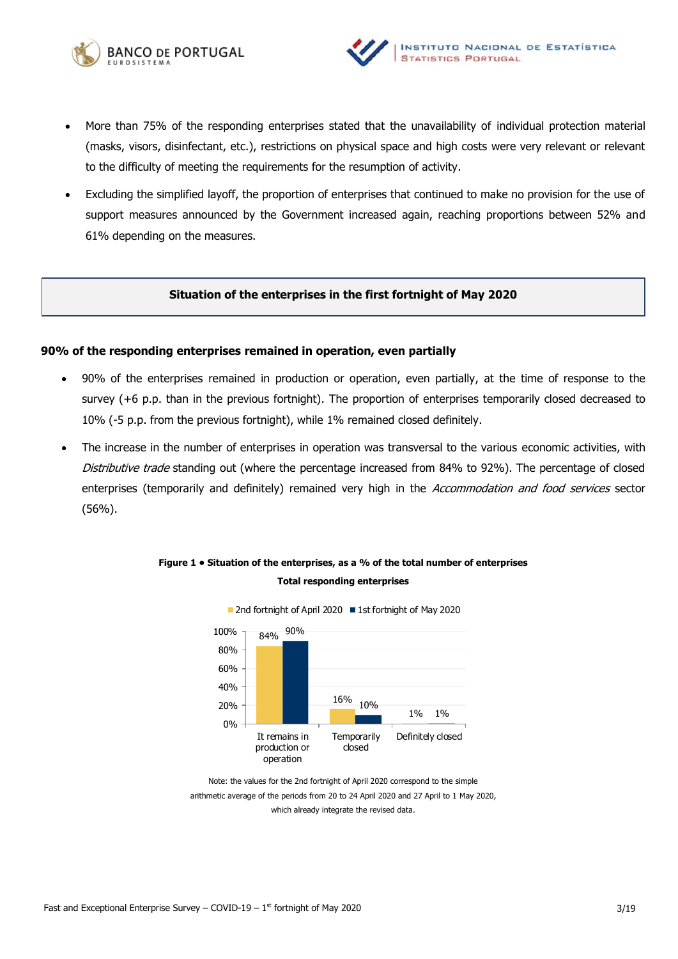



- More than 75% of the responding enterprises stated that the unavailability of individual protection material (masks, visors, disinfectant, etc.), restrictions on physical space and high costs were very relevant or relevant to the difficulty of meeting the requirements for the resumption of activity.
- Excluding the simplified layoff, the proportion of enterprises that continued to make no provision for the use of support measures announced by the Government increased again, reaching proportions between 52% and 61% depending on the measures.

### **Situation of the enterprises in the first fortnight of May 2020**

### **90% of the responding enterprises remained in operation, even partially**

- 90% of the enterprises remained in production or operation, even partially, at the time of response to the survey (+6 p.p. than in the previous fortnight). The proportion of enterprises temporarily closed decreased to 10% (-5 p.p. from the previous fortnight), while 1% remained closed definitely.
- The increase in the number of enterprises in operation was transversal to the various economic activities, with Distributive trade standing out (where the percentage increased from 84% to 92%). The percentage of closed enterprises (temporarily and definitely) remained very high in the Accommodation and food services sector (56%).





Note: the values for the 2nd fortnight of April 2020 correspond to the simple arithmetic average of the periods from 20 to 24 April 2020 and 27 April to 1 May 2020, which already integrate the revised data.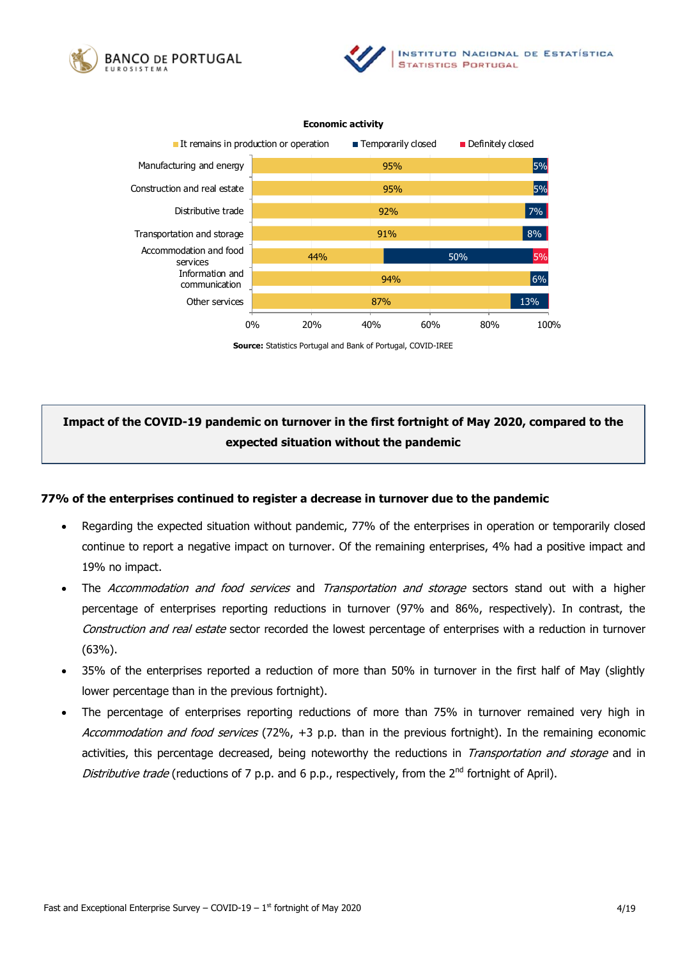



#### **Economic activity**



**Source:** Statistics Portugal and Bank of Portugal, COVID-IREE

# **Impact of the COVID-19 pandemic on turnover in the first fortnight of May 2020, compared to the expected situation without the pandemic**

### **77% of the enterprises continued to register a decrease in turnover due to the pandemic**

- Regarding the expected situation without pandemic, 77% of the enterprises in operation or temporarily closed continue to report a negative impact on turnover. Of the remaining enterprises, 4% had a positive impact and 19% no impact.
- The *Accommodation and food services* and *Transportation and storage* sectors stand out with a higher percentage of enterprises reporting reductions in turnover (97% and 86%, respectively). In contrast, the Construction and real estate sector recorded the lowest percentage of enterprises with a reduction in turnover (63%).
- 35% of the enterprises reported a reduction of more than 50% in turnover in the first half of May (slightly lower percentage than in the previous fortnight).
- The percentage of enterprises reporting reductions of more than 75% in turnover remained very high in Accommodation and food services (72%, +3 p.p. than in the previous fortnight). In the remaining economic activities, this percentage decreased, being noteworthy the reductions in Transportation and storage and in Distributive trade (reductions of 7 p.p. and 6 p.p., respectively, from the  $2^{nd}$  fortnight of April).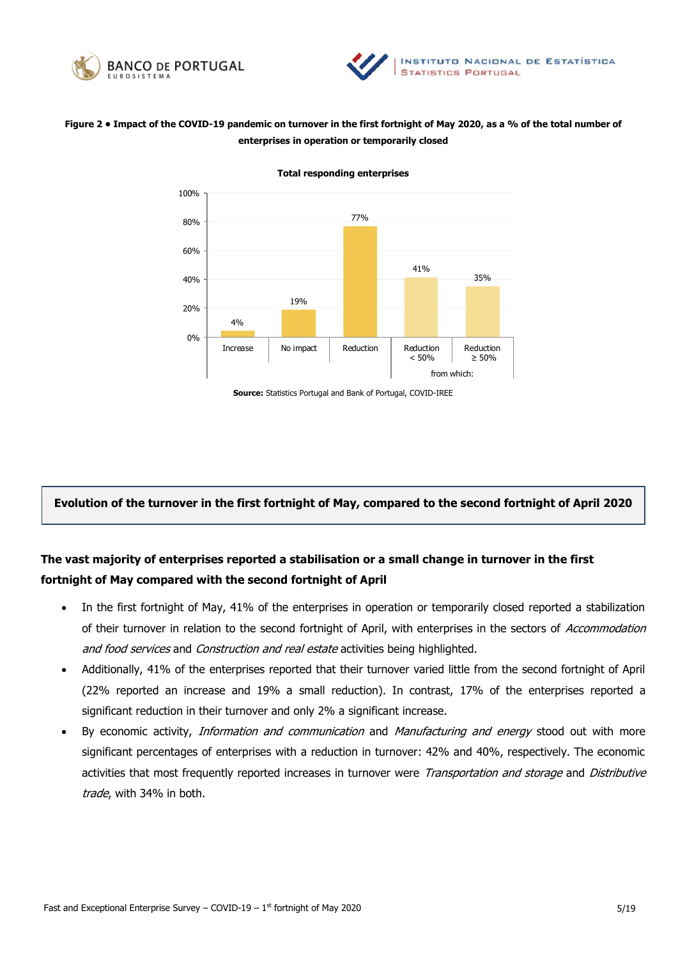



## **Figure 2 • Impact of the COVID-19 pandemic on turnover in the first fortnight of May 2020, as a % of the total number of enterprises in operation or temporarily closed**



**Total responding enterprises** 

**Source:** Statistics Portugal and Bank of Portugal, COVID-IREE

## **Evolution of the turnover in the first fortnight of May, compared to the second fortnight of April 2020**

# **The vast majority of enterprises reported a stabilisation or a small change in turnover in the first fortnight of May compared with the second fortnight of April**

- In the first fortnight of May, 41% of the enterprises in operation or temporarily closed reported a stabilization of their turnover in relation to the second fortnight of April, with enterprises in the sectors of Accommodation and food services and Construction and real estate activities being highlighted.
- Additionally, 41% of the enterprises reported that their turnover varied little from the second fortnight of April (22% reported an increase and 19% a small reduction). In contrast, 17% of the enterprises reported a significant reduction in their turnover and only 2% a significant increase.
- By economic activity, *Information and communication* and *Manufacturing and energy* stood out with more significant percentages of enterprises with a reduction in turnover: 42% and 40%, respectively. The economic activities that most frequently reported increases in turnover were Transportation and storage and Distributive trade, with 34% in both.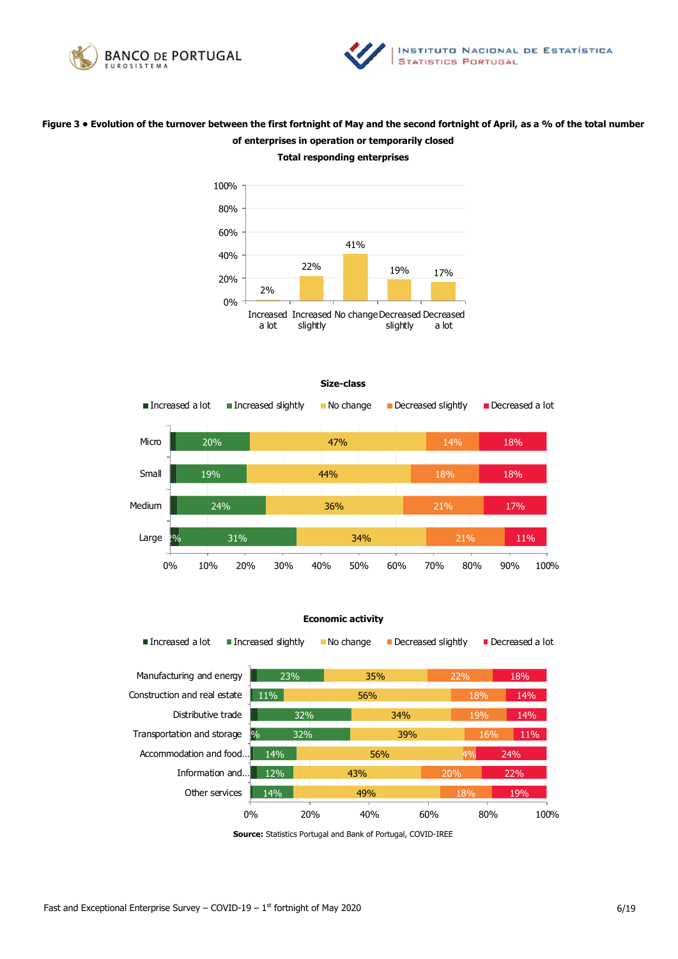



## **Figure 3 • Evolution of the turnover between the first fortnight of May and the second fortnight of April, as a % of the total number of enterprises in operation or temporarily closed**



# **Total responding enterprises**



#### **Economic activity**

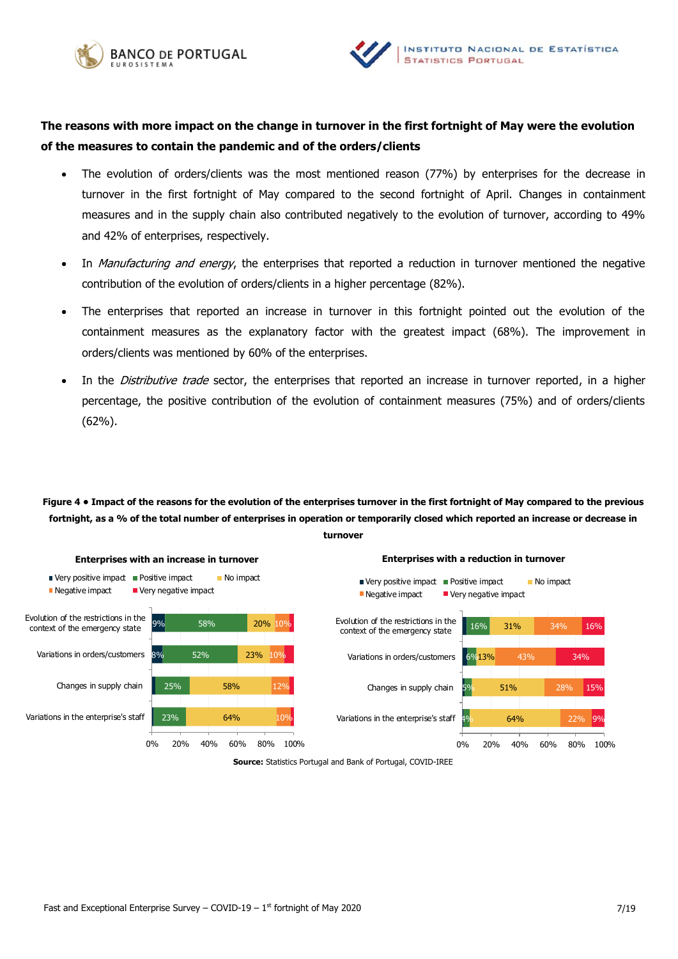



## **The reasons with more impact on the change in turnover in the first fortnight of May were the evolution of the measures to contain the pandemic and of the orders/clients**

- The evolution of orders/clients was the most mentioned reason (77%) by enterprises for the decrease in turnover in the first fortnight of May compared to the second fortnight of April. Changes in containment measures and in the supply chain also contributed negatively to the evolution of turnover, according to 49% and 42% of enterprises, respectively.
- In Manufacturing and energy, the enterprises that reported a reduction in turnover mentioned the negative contribution of the evolution of orders/clients in a higher percentage (82%).
- The enterprises that reported an increase in turnover in this fortnight pointed out the evolution of the containment measures as the explanatory factor with the greatest impact (68%). The improvement in orders/clients was mentioned by 60% of the enterprises.
- In the *Distributive trade* sector, the enterprises that reported an increase in turnover reported, in a higher percentage, the positive contribution of the evolution of containment measures (75%) and of orders/clients (62%).

# **Figure 4 • Impact of the reasons for the evolution of the enterprises turnover in the first fortnight of May compared to the previous fortnight, as a % of the total number of enterprises in operation or temporarily closed which reported an increase or decrease in**



#### **turnover**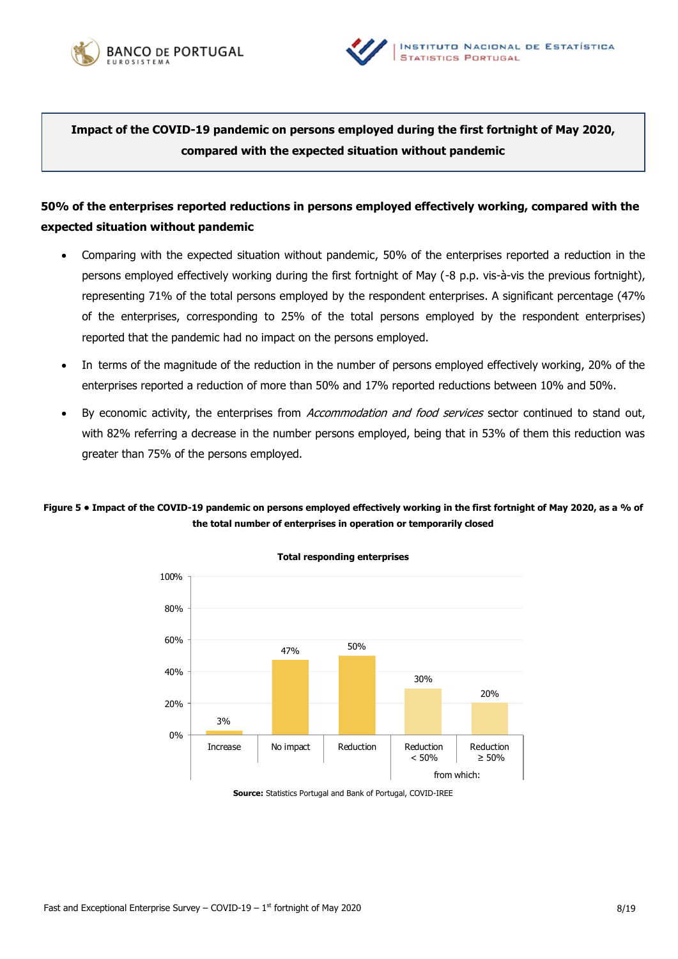



**Impact of the COVID-19 pandemic on persons employed during the first fortnight of May 2020, compared with the expected situation without pandemic**

# **50% of the enterprises reported reductions in persons employed effectively working, compared with the expected situation without pandemic**

- Comparing with the expected situation without pandemic, 50% of the enterprises reported a reduction in the persons employed effectively working during the first fortnight of May (-8 p.p. vis-à-vis the previous fortnight), representing 71% of the total persons employed by the respondent enterprises. A significant percentage (47% of the enterprises, corresponding to 25% of the total persons employed by the respondent enterprises) reported that the pandemic had no impact on the persons employed.
- In terms of the magnitude of the reduction in the number of persons employed effectively working, 20% of the enterprises reported a reduction of more than 50% and 17% reported reductions between 10% and 50%.
- By economic activity, the enterprises from Accommodation and food services sector continued to stand out, with 82% referring a decrease in the number persons employed, being that in 53% of them this reduction was greater than 75% of the persons employed.

## **Figure 5 • Impact of the COVID-19 pandemic on persons employed effectively working in the first fortnight of May 2020, as a % of the total number of enterprises in operation or temporarily closed**



**Source:** Statistics Portugal and Bank of Portugal, COVID-IREE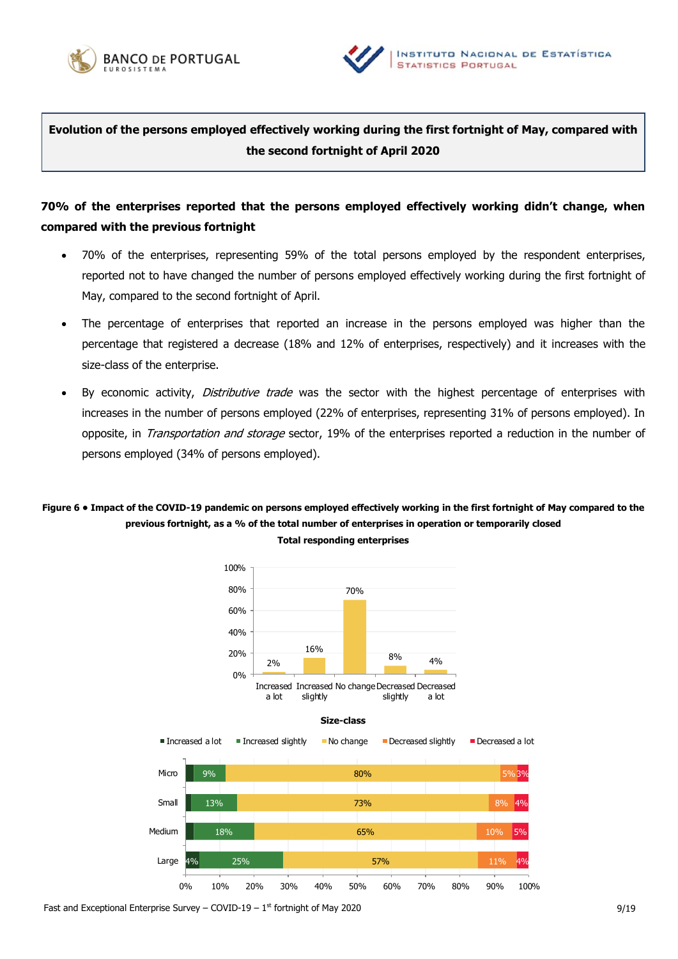



**Evolution of the persons employed effectively working during the first fortnight of May, compared with the second fortnight of April 2020**

# **70% of the enterprises reported that the persons employed effectively working didn't change, when compared with the previous fortnight**

- 70% of the enterprises, representing 59% of the total persons employed by the respondent enterprises, reported not to have changed the number of persons employed effectively working during the first fortnight of May, compared to the second fortnight of April.
- The percentage of enterprises that reported an increase in the persons employed was higher than the percentage that registered a decrease (18% and 12% of enterprises, respectively) and it increases with the size-class of the enterprise.
- By economic activity, Distributive trade was the sector with the highest percentage of enterprises with increases in the number of persons employed (22% of enterprises, representing 31% of persons employed). In opposite, in *Transportation and storage* sector, 19% of the enterprises reported a reduction in the number of persons employed (34% of persons employed).

## **Figure 6 • Impact of the COVID-19 pandemic on persons employed effectively working in the first fortnight of May compared to the previous fortnight, as a % of the total number of enterprises in operation or temporarily closed Total responding enterprises**



Fast and Exceptional Enterprise Survey – COVID-19 –  $1<sup>st</sup>$  fortnight of May 2020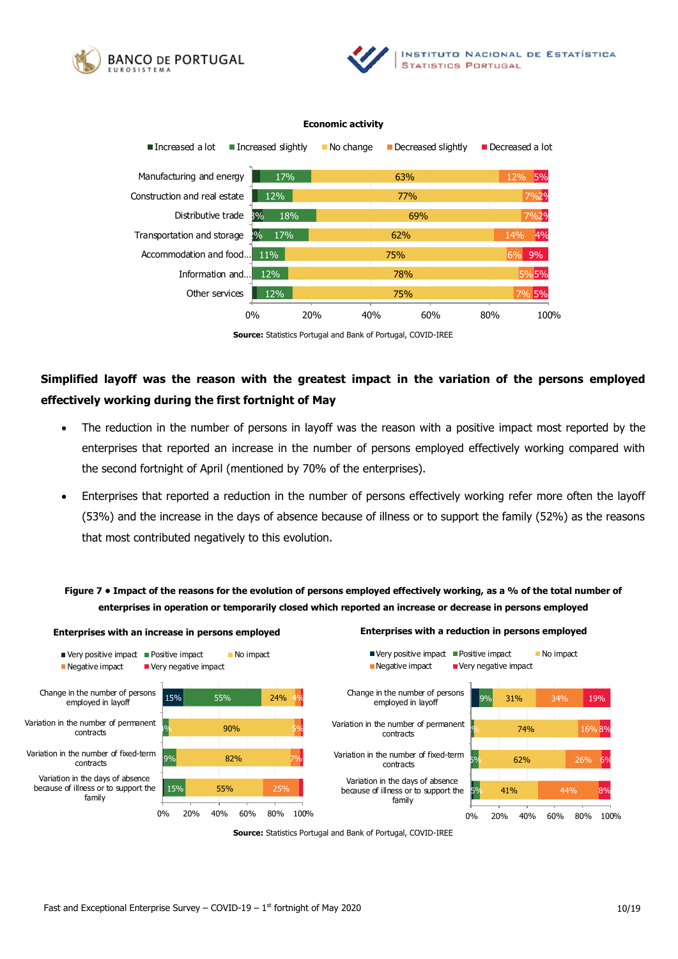





#### **Economic activity**

# **Simplified layoff was the reason with the greatest impact in the variation of the persons employed effectively working during the first fortnight of May**

- The reduction in the number of persons in layoff was the reason with a positive impact most reported by the enterprises that reported an increase in the number of persons employed effectively working compared with the second fortnight of April (mentioned by 70% of the enterprises).
- Enterprises that reported a reduction in the number of persons effectively working refer more often the layoff (53%) and the increase in the days of absence because of illness or to support the family (52%) as the reasons that most contributed negatively to this evolution.

## **Figure 7 • Impact of the reasons for the evolution of persons employed effectively working, as a % of the total number of enterprises in operation or temporarily closed which reported an increase or decrease in persons employed**



**Source:** Statistics Portugal and Bank of Portugal, COVID-IREE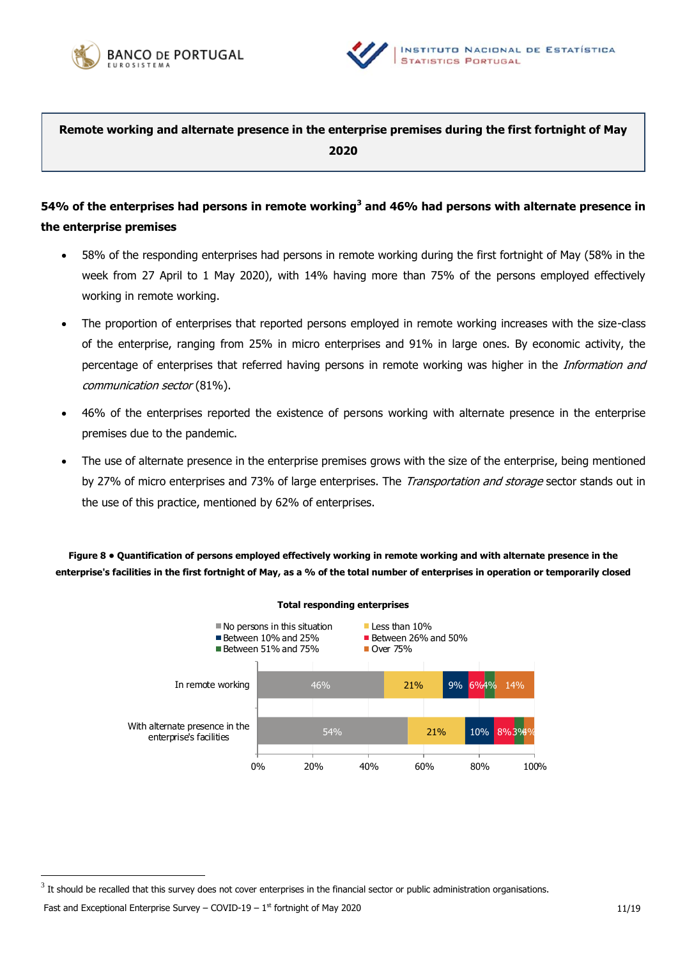



**Remote working and alternate presence in the enterprise premises during the first fortnight of May 2020**

# **54% of the enterprises had persons in remote working<sup>3</sup> and 46% had persons with alternate presence in the enterprise premises**

- 58% of the responding enterprises had persons in remote working during the first fortnight of May (58% in the week from 27 April to 1 May 2020), with 14% having more than 75% of the persons employed effectively working in remote working.
- The proportion of enterprises that reported persons employed in remote working increases with the size-class of the enterprise, ranging from 25% in micro enterprises and 91% in large ones. By economic activity, the percentage of enterprises that referred having persons in remote working was higher in the Information and communication sector (81%).
- 46% of the enterprises reported the existence of persons working with alternate presence in the enterprise premises due to the pandemic.
- The use of alternate presence in the enterprise premises grows with the size of the enterprise, being mentioned by 27% of micro enterprises and 73% of large enterprises. The *Transportation and storage* sector stands out in the use of this practice, mentioned by 62% of enterprises.

**Figure 8 • Quantification of persons employed effectively working in remote working and with alternate presence in the enterprise's facilities in the first fortnight of May, as a % of the total number of enterprises in operation or temporarily closed** 



 $^3$  It should be recalled that this survey does not cover enterprises in the financial sector or public administration organisations.

Fast and Exceptional Enterprise Survey – COVID-19 –  $1^{st}$  fortnight of May 2020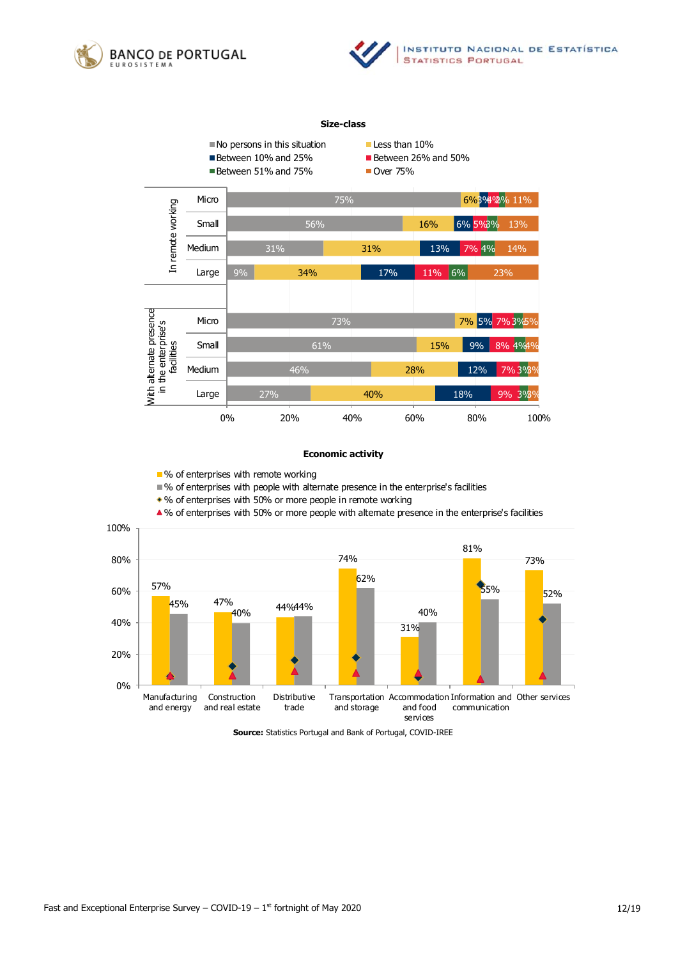



#### **Size-class**



### **Economic activity**

■ % of enterprises with remote working

% of enterprises with people with alternate presence in the enterprise's facilities

% of enterprises with 50% or more people in remote working

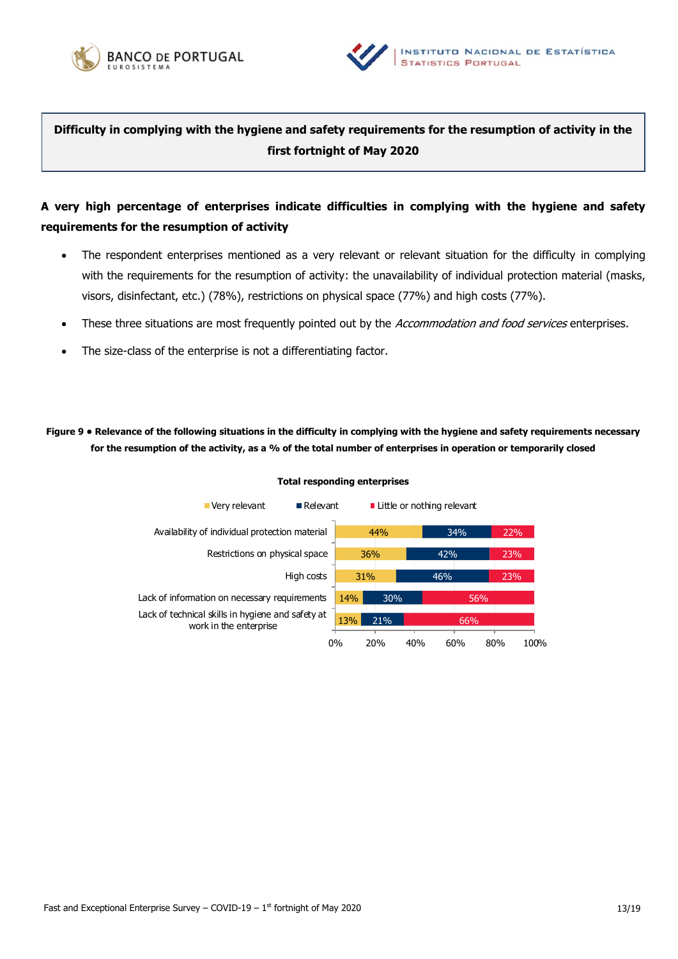



**Difficulty in complying with the hygiene and safety requirements for the resumption of activity in the first fortnight of May 2020**

# **A very high percentage of enterprises indicate difficulties in complying with the hygiene and safety requirements for the resumption of activity**

- The respondent enterprises mentioned as a very relevant or relevant situation for the difficulty in complying with the requirements for the resumption of activity: the unavailability of individual protection material (masks, visors, disinfectant, etc.) (78%), restrictions on physical space (77%) and high costs (77%).
- These three situations are most frequently pointed out by the Accommodation and food services enterprises.
- The size-class of the enterprise is not a differentiating factor.

**Figure 9 • Relevance of the following situations in the difficulty in complying with the hygiene and safety requirements necessary for the resumption of the activity, as a % of the total number of enterprises in operation or temporarily closed**

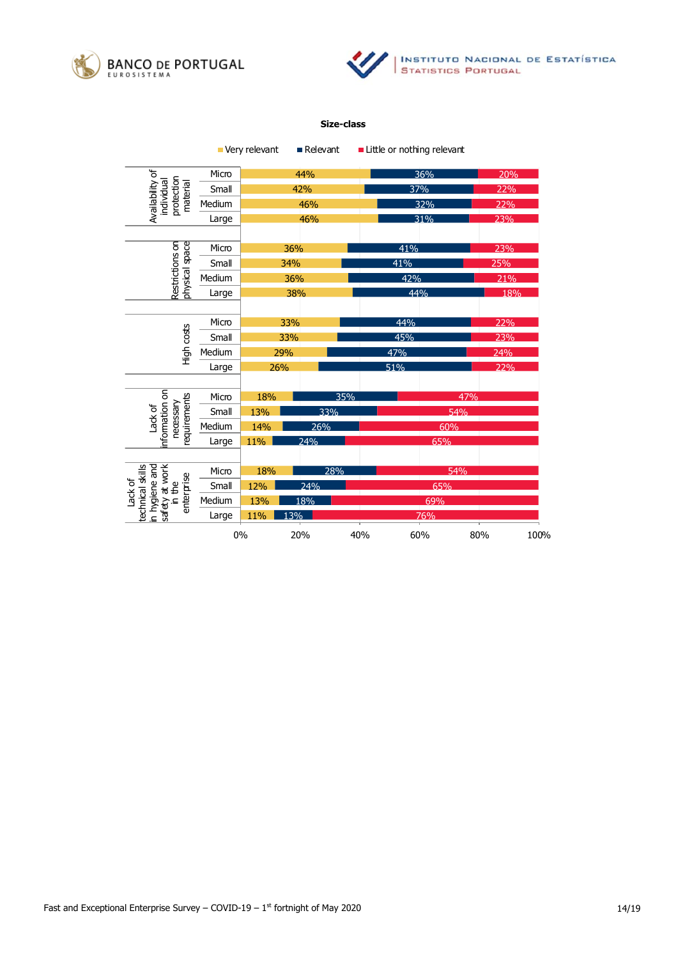



#### **Size-class**

|                                                                                        |        | Very relevant | ■ Relevant |     | Little or nothing relevant |     |      |
|----------------------------------------------------------------------------------------|--------|---------------|------------|-----|----------------------------|-----|------|
| Availability of<br>protection<br>individual<br>material                                | Micro  |               | 44%        |     | 36%                        |     | 20%  |
|                                                                                        | Small  |               | 42%        |     | 37%                        |     | 22%  |
|                                                                                        | Medium | 46%           |            |     | 32%                        |     | 22%  |
|                                                                                        | Large  | 46%           |            |     | 31%                        |     | 23%  |
|                                                                                        |        |               |            |     |                            |     |      |
|                                                                                        | Micro  | 36%           |            |     | 41%                        |     | 23%  |
| physical space<br>Restrictions on                                                      | Small  | 34%           |            |     | 41%                        |     | 25%  |
|                                                                                        | Medium | 36%           |            |     | 42%                        |     | 21%  |
|                                                                                        | Large  | 38%           |            |     | 44%                        |     | 18%  |
|                                                                                        |        |               |            |     |                            |     |      |
|                                                                                        | Micro  | 33%           |            |     | 44%                        |     | 22%  |
| High costs                                                                             | Small  | 33%           |            |     | 45%                        |     | 23%  |
|                                                                                        | Medium | 29%           |            |     | 47%                        |     | 24%  |
|                                                                                        | Large  | 26%           |            |     | 51%                        |     | 22%  |
|                                                                                        |        |               |            |     |                            |     |      |
|                                                                                        | Micro  | 18%           |            | 35% |                            | 47% |      |
|                                                                                        | Small  | 13%           |            | 33% |                            | 54% |      |
| nformation on<br>requirements<br>necessary<br>Lack of                                  | Medium | 26%<br>14%    |            |     | 60%                        |     |      |
|                                                                                        | Large  | 11%           | 24%        |     |                            | 65% |      |
|                                                                                        |        |               |            |     |                            |     |      |
| in hygiene and<br>safety at work<br>in the<br>technical skills<br>enterprise<br>ack of | Micro  | 28%<br>18%    |            |     | 54%                        |     |      |
|                                                                                        | Small  | 12%           | 24%        |     |                            | 65% |      |
|                                                                                        | Medium | 13%           | 18%        |     | 69%                        |     |      |
|                                                                                        | Large  | 11%           | 13%        |     | 76%                        |     |      |
|                                                                                        |        | 0%            | 20%        | 40% | 60%                        | 80% | 100% |

Fast and Exceptional Enterprise Survey – COVID-19 –  $1<sup>st</sup>$  fortnight of May 2020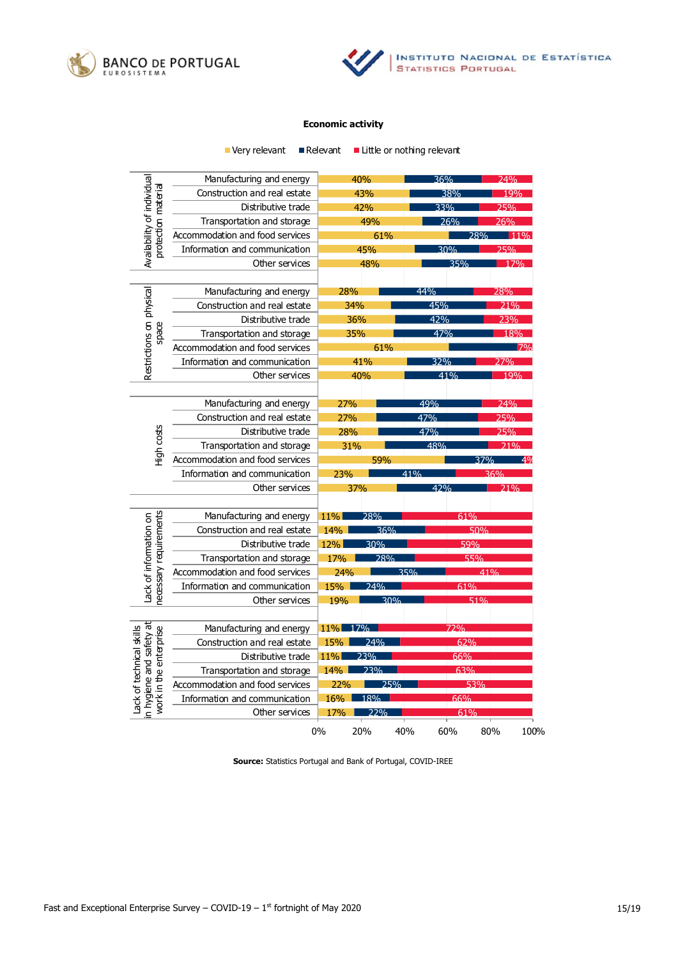



### **Economic activity**

|                                                                               | Very relevant                                                                      | ■ Relevant        |     | ■ Little or nothing relevant |        |            |
|-------------------------------------------------------------------------------|------------------------------------------------------------------------------------|-------------------|-----|------------------------------|--------|------------|
|                                                                               | Manufacturing and energy                                                           |                   | 40% | 36%                          |        | 74%        |
|                                                                               | Construction and real estate                                                       | 43%               |     |                              | 38%    |            |
| Distributive trade                                                            |                                                                                    | 42%               |     | 33%                          |        | 19%<br>25% |
|                                                                               | Transportation and storage                                                         | 49%               |     | 26%                          |        | 26%        |
|                                                                               | Accommodation and food services                                                    | 61%               |     |                              | 28%    |            |
|                                                                               | Availability of individual<br>protection material<br>Information and communication |                   | 45% |                              | 30%    | つらのん       |
|                                                                               | Other services                                                                     |                   | 48% |                              | 35%    | 17%        |
|                                                                               |                                                                                    |                   |     |                              |        |            |
|                                                                               | Manufacturing and energy                                                           | 28%               |     | 44%                          |        | 28%        |
|                                                                               | Construction and real estate                                                       | 34%               |     | 45%                          |        |            |
|                                                                               | Distributive trade                                                                 | 36%               |     | 42%                          |        | 23%        |
| space                                                                         | Transportation and storage                                                         | 35%               |     | 47%                          |        | 18%        |
|                                                                               | Accommodation and food services                                                    | 61%               |     |                              |        |            |
| Restrictions on physical                                                      | Information and communication                                                      | 41%               |     |                              | 32%    |            |
|                                                                               | Other services                                                                     |                   | 40% |                              | 41%    | 19%        |
|                                                                               |                                                                                    |                   |     |                              |        |            |
|                                                                               | Manufacturing and energy                                                           | 27%               |     | 49%                          |        | 74%        |
|                                                                               | Construction and real estate                                                       | 27%               |     | 47%                          |        | 25%        |
|                                                                               | Distributive trade                                                                 | 28%               |     | 47%                          |        | 25%        |
| High costs                                                                    | Transportation and storage                                                         | 31%               |     | 48%                          |        |            |
|                                                                               | Accommodation and food services                                                    |                   | 59% |                              | 37%    |            |
|                                                                               | Information and communication                                                      | 23%               |     | 41%                          |        | 36%        |
|                                                                               | Other services                                                                     |                   | 37% | 42%                          |        | 21%        |
|                                                                               |                                                                                    |                   |     |                              |        |            |
|                                                                               | Manufacturing and energy                                                           | <b>11%</b>        | 28% |                              | 61%    |            |
|                                                                               | Construction and real estate                                                       | 14%               | 36% |                              | 50%    |            |
|                                                                               | Distributive trade                                                                 | 12%               | 30% |                              | 59%    |            |
| ecessary requirements<br>Lack of information on                               | Transportation and storage                                                         | 17%               | 28% |                              | 55%    |            |
|                                                                               | Accommodation and food services                                                    | 24%               |     | 35%                          | $41\%$ |            |
|                                                                               | Information and communication                                                      | 15%               | 24% |                              | 61%    |            |
|                                                                               | Other services                                                                     | 19%               | 30% |                              | 51%    |            |
|                                                                               |                                                                                    |                   |     |                              |        |            |
|                                                                               | Manufacturing and energy                                                           | 11%               | 17% |                              | 72%    |            |
|                                                                               | Construction and real estate                                                       | 74%<br>15%        |     | 62%                          |        |            |
| n hygiene and safety at<br>Lack of technical skills<br>work in the enterprise | Distributive trade                                                                 | 23%<br>66%<br>11% |     |                              |        |            |
|                                                                               | Transportation and storage                                                         | $14\%$            | 23% |                              | 63%    |            |
|                                                                               | Accommodation and food services                                                    | 22%               | 25% |                              | 53%    |            |
|                                                                               | Information and communication                                                      | 16%               | 18% |                              | 66%    |            |
|                                                                               | Other services                                                                     | 17%               | 22% |                              | 61%    |            |
|                                                                               |                                                                                    | 0%                | 20% | 40%<br>60%                   | 80%    | 100%       |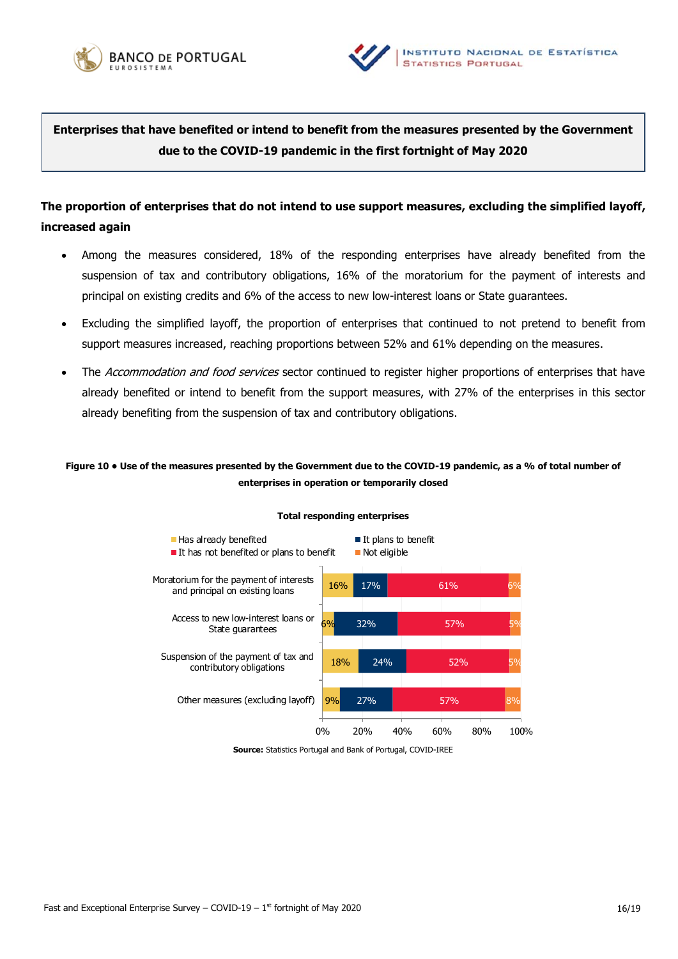



**Enterprises that have benefited or intend to benefit from the measures presented by the Government due to the COVID-19 pandemic in the first fortnight of May 2020**

# **The proportion of enterprises that do not intend to use support measures, excluding the simplified layoff, increased again**

- Among the measures considered, 18% of the responding enterprises have already benefited from the suspension of tax and contributory obligations, 16% of the moratorium for the payment of interests and principal on existing credits and 6% of the access to new low-interest loans or State guarantees.
- Excluding the simplified layoff, the proportion of enterprises that continued to not pretend to benefit from support measures increased, reaching proportions between 52% and 61% depending on the measures.
- The Accommodation and food services sector continued to register higher proportions of enterprises that have already benefited or intend to benefit from the support measures, with 27% of the enterprises in this sector already benefiting from the suspension of tax and contributory obligations.

### **Figure 10 • Use of the measures presented by the Government due to the COVID-19 pandemic, as a % of total number of enterprises in operation or temporarily closed**



### **Total responding enterprises**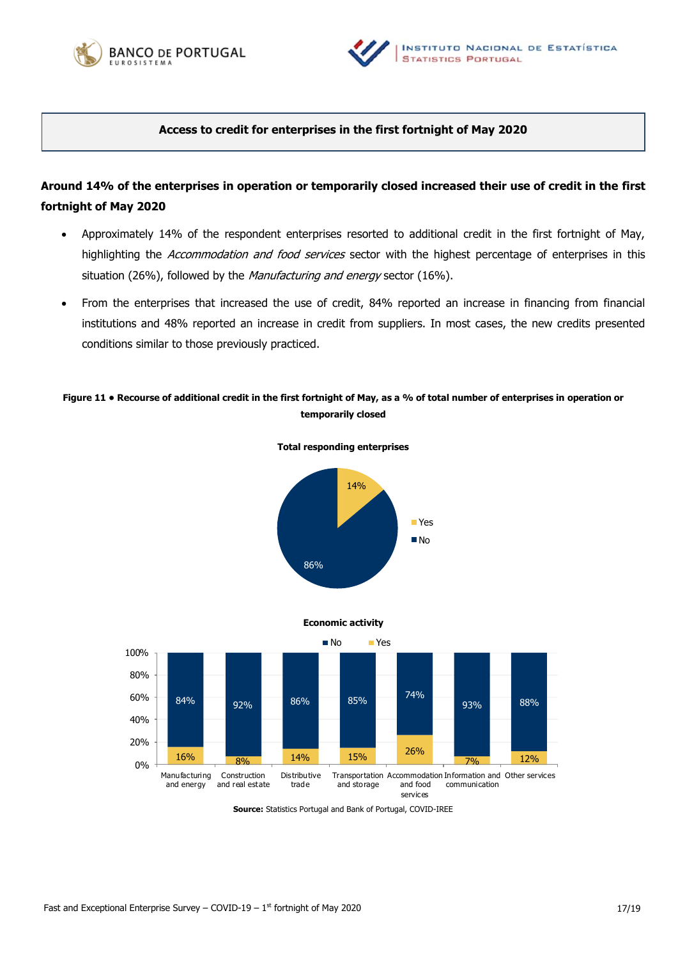



### **Access to credit for enterprises in the first fortnight of May 2020**

# **Around 14% of the enterprises in operation or temporarily closed increased their use of credit in the first fortnight of May 2020**

- Approximately 14% of the respondent enterprises resorted to additional credit in the first fortnight of May, highlighting the Accommodation and food services sector with the highest percentage of enterprises in this situation (26%), followed by the Manufacturing and energy sector (16%).
- From the enterprises that increased the use of credit, 84% reported an increase in financing from financial institutions and 48% reported an increase in credit from suppliers. In most cases, the new credits presented conditions similar to those previously practiced.

## **Figure 11 • Recourse of additional credit in the first fortnight of May, as a % of total number of enterprises in operation or temporarily closed**







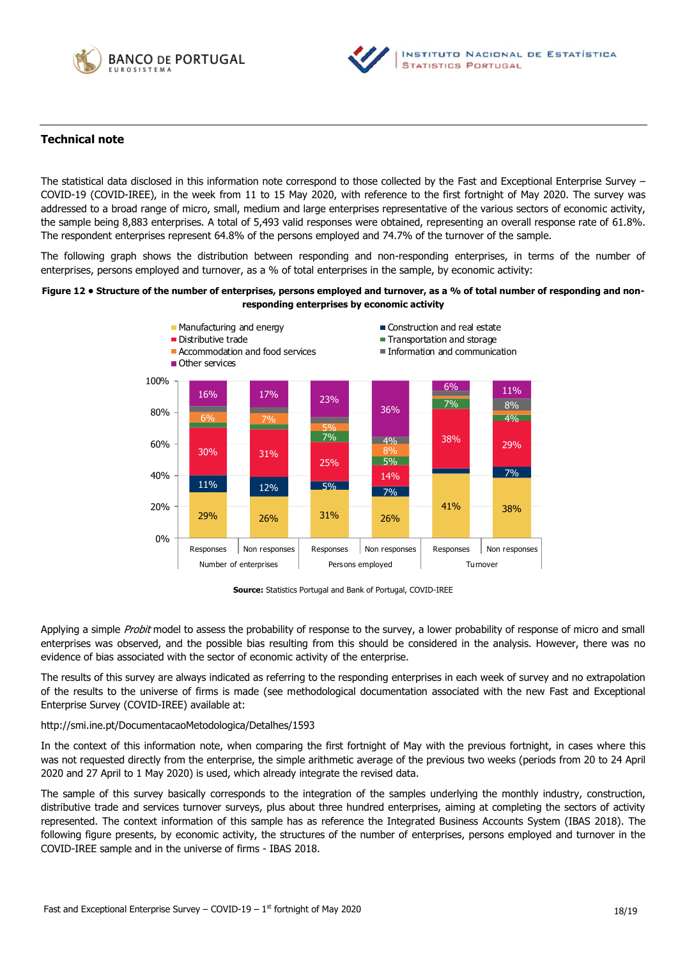



### **Technical note**

The statistical data disclosed in this information note correspond to those collected by the Fast and Exceptional Enterprise Survey – COVID-19 (COVID-IREE), in the week from 11 to 15 May 2020, with reference to the first fortnight of May 2020. The survey was addressed to a broad range of micro, small, medium and large enterprises representative of the various sectors of economic activity, the sample being 8,883 enterprises. A total of 5,493 valid responses were obtained, representing an overall response rate of 61.8%. The respondent enterprises represent 64.8% of the persons employed and 74.7% of the turnover of the sample.

The following graph shows the distribution between responding and non-responding enterprises, in terms of the number of enterprises, persons employed and turnover, as a % of total enterprises in the sample, by economic activity:

#### **Figure 12 • Structure of the number of enterprises, persons employed and turnover, as a % of total number of responding and nonresponding enterprises by economic activity**



**Source:** Statistics Portugal and Bank of Portugal, COVID-IREE

Applying a simple Probit model to assess the probability of response to the survey, a lower probability of response of micro and small enterprises was observed, and the possible bias resulting from this should be considered in the analysis. However, there was no evidence of bias associated with the sector of economic activity of the enterprise.

The results of this survey are always indicated as referring to the responding enterprises in each week of survey and no extrapolation of the results to the universe of firms is made (see methodological documentation associated with the new Fast and Exceptional Enterprise Survey (COVID-IREE) available at:

#### <http://smi.ine.pt/DocumentacaoMetodologica/Detalhes/1593>

In the context of this information note, when comparing the first fortnight of May with the previous fortnight, in cases where this was not requested directly from the enterprise, the simple arithmetic average of the previous two weeks (periods from 20 to 24 April 2020 and 27 April to 1 May 2020) is used, which already integrate the revised data.

The sample of this survey basically corresponds to the integration of the samples underlying the monthly industry, construction, distributive trade and services turnover surveys, plus about three hundred enterprises, aiming at completing the sectors of activity represented. The context information of this sample has as reference the Integrated Business Accounts System (IBAS 2018). The following figure presents, by economic activity, the structures of the number of enterprises, persons employed and turnover in the COVID-IREE sample and in the universe of firms - IBAS 2018.